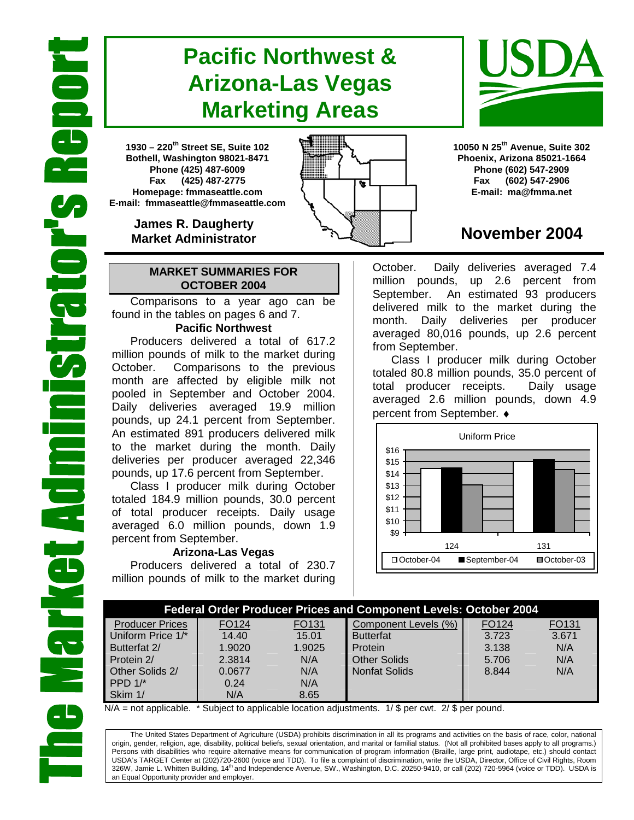# **Pacific Northwest & Arizona-Las Vegas Marketing Areas**

**1930 – 220th Street SE, Suite 102 Bothell, Washington 98021-8471 Phone (425) 487-6009 Fax (425) 487-2775 Homepage: fmmaseattle.com E-mail: fmmaseattle@fmmaseattle.com**

> **James R. Daugherty Market Administrator**

### **MARKET SUMMARIES FOR OCTOBER 2004**

 Comparisons to a year ago can be found in the tables on pages 6 and 7.

### **Pacific Northwest**

Producers delivered a total of 617.2 million pounds of milk to the market during October. Comparisons to the previous month are affected by eligible milk not pooled in September and October 2004. Daily deliveries averaged 19.9 million pounds, up 24.1 percent from September. An estimated 891 producers delivered milk to the market during the month. Daily deliveries per producer averaged 22,346 pounds, up 17.6 percent from September.

Class I producer milk during October totaled 184.9 million pounds, 30.0 percent of total producer receipts. Daily usage averaged 6.0 million pounds, down 1.9 percent from September.

### **Arizona-Las Vegas**

Producers delivered a total of 230.7 million pounds of milk to the market during **10050 N 25th Avenue, Suite 302 Phoenix, Arizona 85021-1664 Phone (602) 547-2909 Fax (602) 547-2906 E-mail: ma@fmma.net**

## **November 2004**

October. Daily deliveries averaged 7.4 million pounds, up 2.6 percent from September. An estimated 93 producers delivered milk to the market during the month. Daily deliveries per producer averaged 80,016 pounds, up 2.6 percent from September.

Class I producer milk during October totaled 80.8 million pounds, 35.0 percent of total producer receipts. Daily usage averaged 2.6 million pounds, down 4.9 percent from September. ♦



|                        | <b>Federal Order Producer Prices and Component Levels: October 2004</b> |        |                      |       |                   |  |  |  |  |
|------------------------|-------------------------------------------------------------------------|--------|----------------------|-------|-------------------|--|--|--|--|
| <b>Producer Prices</b> | FO124                                                                   | FO131  | Component Levels (%) | FO124 | FO <sub>131</sub> |  |  |  |  |
| Uniform Price 1/*      | 14.40                                                                   | 15.01  | <b>Butterfat</b>     | 3.723 | 3.671             |  |  |  |  |
| Butterfat 2/           | 1.9020                                                                  | 1.9025 | Protein              | 3.138 | N/A               |  |  |  |  |
| Protein 2/             | 2.3814                                                                  | N/A    | <b>Other Solids</b>  | 5.706 | N/A               |  |  |  |  |
| Other Solids 2/        | 0.0677                                                                  | N/A    | <b>Nonfat Solids</b> | 8.844 | N/A               |  |  |  |  |
| PPD $1/*$              | 0.24                                                                    | N/A    |                      |       |                   |  |  |  |  |
| Skim 1/                | N/A                                                                     | 8.65   |                      |       |                   |  |  |  |  |

 $N/A$  = not applicable. \* Subject to applicable location adjustments. 1/ \$ per cwt. 2/ \$ per pound.

The United States Department of Agriculture (USDA) prohibits discrimination in all its programs and activities on the basis of race, color, national origin, gender, religion, age, disability, political beliefs, sexual orientation, and marital or familial status. (Not all prohibited bases apply to all programs.) Persons with disabilities who require alternative means for communication of program information (Braille, large print, audiotape, etc.) should contact USDA's TARGET Center at (202)720-2600 (voice and TDD). To file a complaint of discrimination, write the USDA, Director, Office of Civil Rights, Room 326W, Jamie L. Whitten Building, 14<sup>th</sup> and Independence Avenue, SW., Washington, D.C. 20250-9410, or call (202) 720-5964 (voice or TDD). USDA is an Equal Opportunity provider and employer.



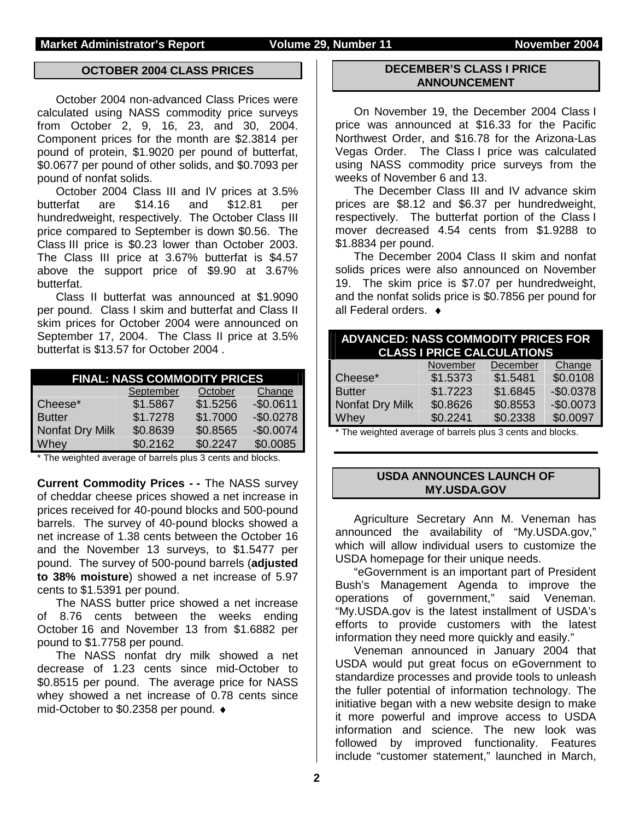### **OCTOBER 2004 CLASS PRICES**

October 2004 non-advanced Class Prices were calculated using NASS commodity price surveys from October 2, 9, 16, 23, and 30, 2004. Component prices for the month are \$2.3814 per pound of protein, \$1.9020 per pound of butterfat, \$0.0677 per pound of other solids, and \$0.7093 per pound of nonfat solids.

 October 2004 Class III and IV prices at 3.5% butterfat are \$14.16 and \$12.81 per hundredweight, respectively. The October Class III price compared to September is down \$0.56. The Class III price is \$0.23 lower than October 2003. The Class III price at 3.67% butterfat is \$4.57 above the support price of \$9.90 at 3.67% butterfat.

Class II butterfat was announced at \$1.9090 per pound. Class I skim and butterfat and Class II skim prices for October 2004 were announced on September 17, 2004. The Class II price at 3.5% butterfat is \$13.57 for October 2004 .

| <b>FINAL: NASS COMMODITY PRICES</b> |          |          |            |  |  |  |  |  |  |  |
|-------------------------------------|----------|----------|------------|--|--|--|--|--|--|--|
| September<br>October<br>Change      |          |          |            |  |  |  |  |  |  |  |
| Cheese*                             | \$1.5867 | \$1.5256 | $-$0.0611$ |  |  |  |  |  |  |  |
| <b>Butter</b>                       | \$1.7278 | \$1.7000 | $-$0.0278$ |  |  |  |  |  |  |  |
| Nonfat Dry Milk                     | \$0.8639 | \$0.8565 | $-$0.0074$ |  |  |  |  |  |  |  |
| Whey                                | \$0.2162 | \$0.2247 | \$0.0085   |  |  |  |  |  |  |  |

The weighted average of barrels plus 3 cents and blocks.

**Current Commodity Prices - -** The NASS survey of cheddar cheese prices showed a net increase in prices received for 40-pound blocks and 500-pound barrels. The survey of 40-pound blocks showed a net increase of 1.38 cents between the October 16 and the November 13 surveys, to \$1.5477 per pound. The survey of 500-pound barrels (**adjusted to 38% moisture**) showed a net increase of 5.97 cents to \$1.5391 per pound.

The NASS butter price showed a net increase of 8.76 cents between the weeks ending October 16 and November 13 from \$1.6882 per pound to \$1.7758 per pound.

The NASS nonfat dry milk showed a net decrease of 1.23 cents since mid-October to \$0.8515 per pound. The average price for NASS whey showed a net increase of 0.78 cents since mid-October to \$0.2358 per pound. ♦

#### **DECEMBER'S CLASS I PRICE ANNOUNCEMENT**

 On November 19, the December 2004 Class I price was announced at \$16.33 for the Pacific Northwest Order, and \$16.78 for the Arizona-Las Vegas Order. The Class I price was calculated using NASS commodity price surveys from the weeks of November 6 and 13.

 The December Class III and IV advance skim prices are \$8.12 and \$6.37 per hundredweight, respectively. The butterfat portion of the Class I mover decreased 4.54 cents from \$1.9288 to \$1.8834 per pound.

 The December 2004 Class II skim and nonfat solids prices were also announced on November 19. The skim price is \$7.07 per hundredweight, and the nonfat solids price is \$0.7856 per pound for all Federal orders. ♦

| <b>ADVANCED: NASS COMMODITY PRICES FOR</b><br><b>CLASS I PRICE CALCULATIONS</b> |          |          |            |  |  |  |  |  |  |
|---------------------------------------------------------------------------------|----------|----------|------------|--|--|--|--|--|--|
|                                                                                 | November | December | Change     |  |  |  |  |  |  |
| Cheese*                                                                         | \$1.5373 | \$1.5481 | \$0.0108   |  |  |  |  |  |  |
| <b>Butter</b>                                                                   | \$1.7223 | \$1.6845 | $-$0.0378$ |  |  |  |  |  |  |
| Nonfat Dry Milk                                                                 | \$0.8626 | \$0.8553 | $-$0.0073$ |  |  |  |  |  |  |
| Whey                                                                            | \$0.2241 | \$0.2338 | \$0.0097   |  |  |  |  |  |  |

\* The weighted average of barrels plus 3 cents and blocks.

#### **USDA ANNOUNCES LAUNCH OF MY.USDA.GOV**

Agriculture Secretary Ann M. Veneman has announced the availability of "My.USDA.gov," which will allow individual users to customize the USDA homepage for their unique needs.

"eGovernment is an important part of President Bush's Management Agenda to improve the operations of government," said Veneman. "My.USDA.gov is the latest installment of USDA's efforts to provide customers with the latest information they need more quickly and easily."

Veneman announced in January 2004 that USDA would put great focus on eGovernment to standardize processes and provide tools to unleash the fuller potential of information technology. The initiative began with a new website design to make it more powerful and improve access to USDA information and science. The new look was followed by improved functionality. Features include "customer statement," launched in March,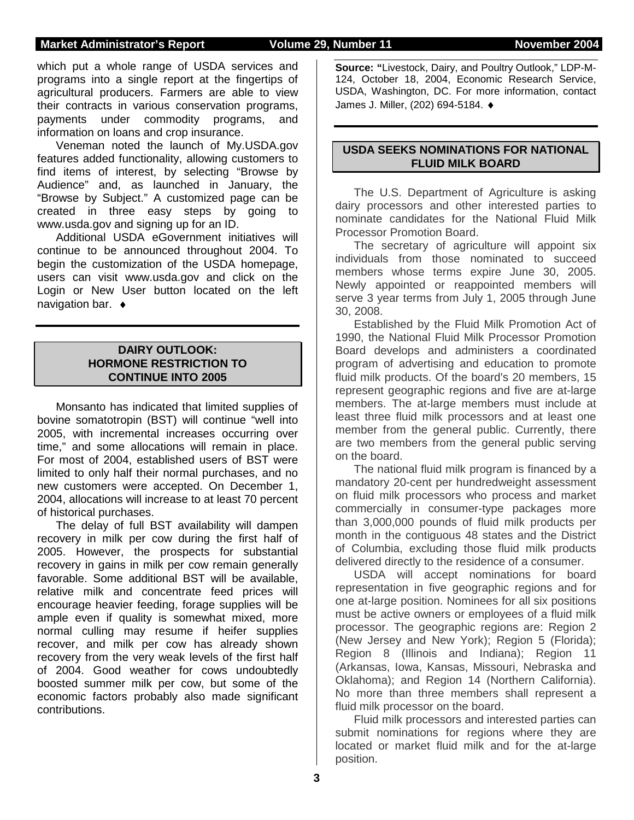#### **Market Administrator's Report Colume 29, Number 11 Movember 2004**

which put a whole range of USDA services and programs into a single report at the fingertips of agricultural producers. Farmers are able to view their contracts in various conservation programs, payments under commodity programs, and information on loans and crop insurance.

Veneman noted the launch of My.USDA.gov features added functionality, allowing customers to find items of interest, by selecting "Browse by Audience" and, as launched in January, the "Browse by Subject." A customized page can be created in three easy steps by going to www.usda.gov and signing up for an ID.

Additional USDA eGovernment initiatives will continue to be announced throughout 2004. To begin the customization of the USDA homepage, users can visit www.usda.gov and click on the Login or New User button located on the left navigation bar. ♦

### **DAIRY OUTLOOK: HORMONE RESTRICTION TO CONTINUE INTO 2005**

Monsanto has indicated that limited supplies of bovine somatotropin (BST) will continue "well into 2005, with incremental increases occurring over time," and some allocations will remain in place. For most of 2004, established users of BST were limited to only half their normal purchases, and no new customers were accepted. On December 1, 2004, allocations will increase to at least 70 percent of historical purchases.

The delay of full BST availability will dampen recovery in milk per cow during the first half of 2005. However, the prospects for substantial recovery in gains in milk per cow remain generally favorable. Some additional BST will be available, relative milk and concentrate feed prices will encourage heavier feeding, forage supplies will be ample even if quality is somewhat mixed, more normal culling may resume if heifer supplies recover, and milk per cow has already shown recovery from the very weak levels of the first half of 2004. Good weather for cows undoubtedly boosted summer milk per cow, but some of the economic factors probably also made significant contributions.

**Source: "**Livestock, Dairy, and Poultry Outlook," LDP-M-124, October 18, 2004, Economic Research Service, USDA, Washington, DC. For more information, contact James J. Miller, (202) 694-5184. ♦

### **USDA SEEKS NOMINATIONS FOR NATIONAL FLUID MILK BOARD**

The U.S. Department of Agriculture is asking dairy processors and other interested parties to nominate candidates for the National Fluid Milk Processor Promotion Board.

The secretary of agriculture will appoint six individuals from those nominated to succeed members whose terms expire June 30, 2005. Newly appointed or reappointed members will serve 3 year terms from July 1, 2005 through June 30, 2008.

Established by the Fluid Milk Promotion Act of 1990, the National Fluid Milk Processor Promotion Board develops and administers a coordinated program of advertising and education to promote fluid milk products. Of the board's 20 members, 15 represent geographic regions and five are at-large members. The at-large members must include at least three fluid milk processors and at least one member from the general public. Currently, there are two members from the general public serving on the board.

The national fluid milk program is financed by a mandatory 20-cent per hundredweight assessment on fluid milk processors who process and market commercially in consumer-type packages more than 3,000,000 pounds of fluid milk products per month in the contiguous 48 states and the District of Columbia, excluding those fluid milk products delivered directly to the residence of a consumer.

USDA will accept nominations for board representation in five geographic regions and for one at-large position. Nominees for all six positions must be active owners or employees of a fluid milk processor. The geographic regions are: Region 2 (New Jersey and New York); Region 5 (Florida); Region 8 (Illinois and Indiana); Region 11 (Arkansas, Iowa, Kansas, Missouri, Nebraska and Oklahoma); and Region 14 (Northern California). No more than three members shall represent a fluid milk processor on the board.

Fluid milk processors and interested parties can submit nominations for regions where they are located or market fluid milk and for the at-large position.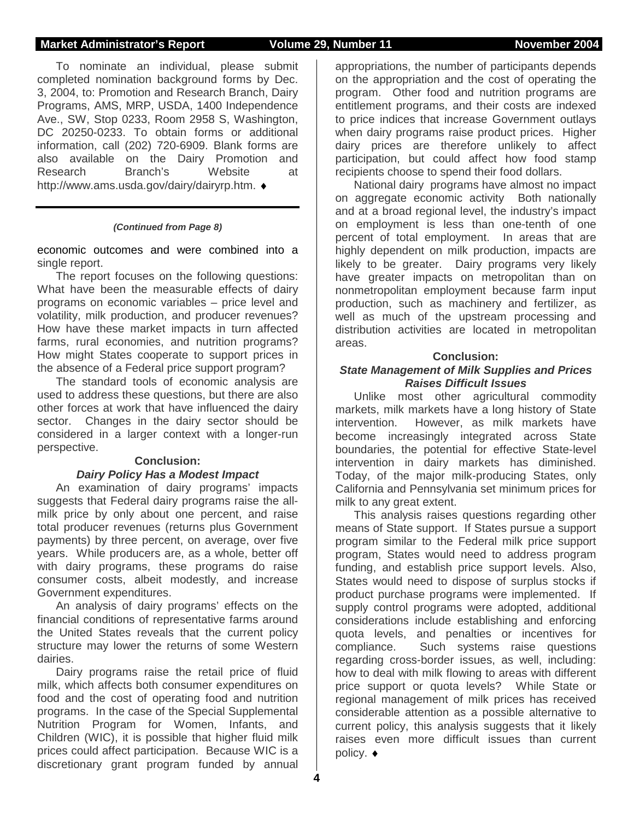#### **Market Administrator's Report Volume 29, Number 11 November 2004**

To nominate an individual, please submit completed nomination background forms by Dec. 3, 2004, to: Promotion and Research Branch, Dairy Programs, AMS, MRP, USDA, 1400 Independence Ave., SW, Stop 0233, Room 2958 S, Washington, DC 20250-0233. To obtain forms or additional information, call (202) 720-6909. Blank forms are also available on the Dairy Promotion and Research Branch's Website at http://www.ams.usda.gov/dairy/dairyrp.htm. ♦

#### *(Continued from Page 8)*

economic outcomes and were combined into a single report.

 The report focuses on the following questions: What have been the measurable effects of dairy programs on economic variables – price level and volatility, milk production, and producer revenues? How have these market impacts in turn affected farms, rural economies, and nutrition programs? How might States cooperate to support prices in the absence of a Federal price support program?

 The standard tools of economic analysis are used to address these questions, but there are also other forces at work that have influenced the dairy sector. Changes in the dairy sector should be considered in a larger context with a longer-run perspective.

#### **Conclusion:**  *Dairy Policy Has a Modest Impact*

 An examination of dairy programs' impacts suggests that Federal dairy programs raise the allmilk price by only about one percent, and raise total producer revenues (returns plus Government payments) by three percent, on average, over five years. While producers are, as a whole, better off with dairy programs, these programs do raise consumer costs, albeit modestly, and increase Government expenditures.

 An analysis of dairy programs' effects on the financial conditions of representative farms around the United States reveals that the current policy structure may lower the returns of some Western dairies.

 Dairy programs raise the retail price of fluid milk, which affects both consumer expenditures on food and the cost of operating food and nutrition programs. In the case of the Special Supplemental Nutrition Program for Women, Infants, and Children (WIC), it is possible that higher fluid milk prices could affect participation. Because WIC is a discretionary grant program funded by annual

appropriations, the number of participants depends on the appropriation and the cost of operating the program. Other food and nutrition programs are entitlement programs, and their costs are indexed to price indices that increase Government outlays when dairy programs raise product prices. Higher dairy prices are therefore unlikely to affect participation, but could affect how food stamp recipients choose to spend their food dollars.

 National dairy programs have almost no impact on aggregate economic activity Both nationally and at a broad regional level, the industry's impact on employment is less than one-tenth of one percent of total employment. In areas that are highly dependent on milk production, impacts are likely to be greater. Dairy programs very likely have greater impacts on metropolitan than on nonmetropolitan employment because farm input production, such as machinery and fertilizer, as well as much of the upstream processing and distribution activities are located in metropolitan areas.

#### **Conclusion:**

#### *State Management of Milk Supplies and Prices Raises Difficult Issues*

 Unlike most other agricultural commodity markets, milk markets have a long history of State intervention. However, as milk markets have become increasingly integrated across State boundaries, the potential for effective State-level intervention in dairy markets has diminished. Today, of the major milk-producing States, only California and Pennsylvania set minimum prices for milk to any great extent.

 This analysis raises questions regarding other means of State support. If States pursue a support program similar to the Federal milk price support program, States would need to address program funding, and establish price support levels. Also, States would need to dispose of surplus stocks if product purchase programs were implemented. If supply control programs were adopted, additional considerations include establishing and enforcing quota levels, and penalties or incentives for compliance. Such systems raise questions regarding cross-border issues, as well, including: how to deal with milk flowing to areas with different price support or quota levels? While State or regional management of milk prices has received considerable attention as a possible alternative to current policy, this analysis suggests that it likely raises even more difficult issues than current policy. ♦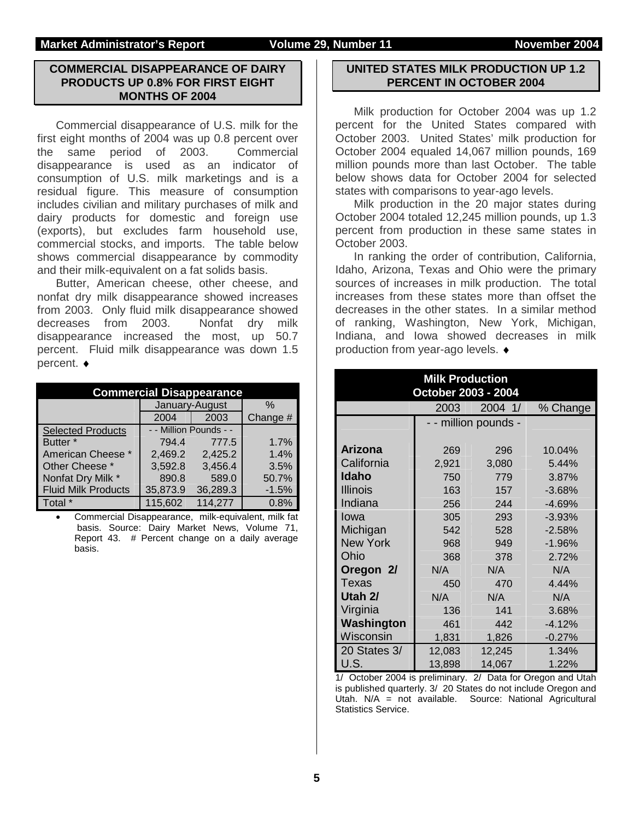#### **Market Administrator's Report Volume 29, Number 11 Movember 2004**

### **COMMERCIAL DISAPPEARANCE OF DAIRY PRODUCTS UP 0.8% FOR FIRST EIGHT MONTHS OF 2004**

 Commercial disappearance of U.S. milk for the first eight months of 2004 was up 0.8 percent over the same period of 2003. Commercial disappearance is used as an indicator of consumption of U.S. milk marketings and is a residual figure. This measure of consumption includes civilian and military purchases of milk and dairy products for domestic and foreign use (exports), but excludes farm household use, commercial stocks, and imports. The table below shows commercial disappearance by commodity and their milk-equivalent on a fat solids basis.

 Butter, American cheese, other cheese, and nonfat dry milk disappearance showed increases from 2003. Only fluid milk disappearance showed decreases from 2003. Nonfat dry milk disappearance increased the most, up 50.7 percent. Fluid milk disappearance was down 1.5 percent. ♦

| <b>Commercial Disappearance</b> |                        |          |          |  |  |  |  |
|---------------------------------|------------------------|----------|----------|--|--|--|--|
|                                 | January-August         | %        |          |  |  |  |  |
|                                 | 2004                   | 2003     | Change # |  |  |  |  |
| Selected Products               | - - Million Pounds - - |          |          |  |  |  |  |
| Butter <sup>*</sup>             | 794.4                  | 777.5    | 1.7%     |  |  |  |  |
| American Cheese *               | 2,469.2                | 2,425.2  | 1.4%     |  |  |  |  |
| Other Cheese *                  | 3,592.8                | 3,456.4  | 3.5%     |  |  |  |  |
| Nonfat Dry Milk *               | 890.8                  | 589.0    | 50.7%    |  |  |  |  |
| <b>Fluid Milk Products</b>      | 35,873.9               | 36,289.3 | $-1.5%$  |  |  |  |  |
| Total                           | 115,602                | 114,277  | 0.8%     |  |  |  |  |

• Commercial Disappearance, milk-equivalent, milk fat basis. Source: Dairy Market News, Volume 71, Report 43. # Percent change on a daily average basis.

#### **UNITED STATES MILK PRODUCTION UP 1.2 PERCENT IN OCTOBER 2004**

 Milk production for October 2004 was up 1.2 percent for the United States compared with October 2003. United States' milk production for October 2004 equaled 14,067 million pounds, 169 million pounds more than last October. The table below shows data for October 2004 for selected states with comparisons to year-ago levels.

 Milk production in the 20 major states during October 2004 totaled 12,245 million pounds, up 1.3 percent from production in these same states in October 2003.

 In ranking the order of contribution, California, Idaho, Arizona, Texas and Ohio were the primary sources of increases in milk production. The total increases from these states more than offset the decreases in the other states. In a similar method of ranking, Washington, New York, Michigan, Indiana, and Iowa showed decreases in milk production from year-ago levels. ♦

| <b>Milk Production</b><br>October 2003 - 2004 |        |                    |          |  |  |  |  |  |
|-----------------------------------------------|--------|--------------------|----------|--|--|--|--|--|
|                                               | 2003   | 2004 1/            | % Change |  |  |  |  |  |
|                                               |        | - million pounds - |          |  |  |  |  |  |
| <b>Arizona</b>                                | 269    | 296                | 10.04%   |  |  |  |  |  |
| California                                    | 2,921  | 3,080              | 5.44%    |  |  |  |  |  |
| Idaho                                         | 750    | 779                | 3.87%    |  |  |  |  |  |
| <b>Illinois</b>                               | 163    | 157                | $-3.68%$ |  |  |  |  |  |
| Indiana                                       | 256    | 244                | $-4.69%$ |  |  |  |  |  |
| Iowa                                          | 305    | 293                | $-3.93%$ |  |  |  |  |  |
| Michigan                                      | 542    | 528                | $-2.58%$ |  |  |  |  |  |
| <b>New York</b>                               | 968    | 949                | $-1.96%$ |  |  |  |  |  |
| Ohio                                          | 368    | 378                | 2.72%    |  |  |  |  |  |
| Oregon 2/                                     | N/A    | N/A                | N/A      |  |  |  |  |  |
| Texas                                         | 450    | 470                | 4.44%    |  |  |  |  |  |
| Utah 2/                                       | N/A    | N/A                | N/A      |  |  |  |  |  |
| Virginia                                      | 136    | 141                | 3.68%    |  |  |  |  |  |
| Washington                                    | 461    | 442                | $-4.12%$ |  |  |  |  |  |
| Wisconsin                                     | 1,831  | 1,826              | $-0.27%$ |  |  |  |  |  |
| 20 States 3/                                  | 12,083 | 12,245             | 1.34%    |  |  |  |  |  |
| U.S.                                          | 13,898 | 14,067             | 1.22%    |  |  |  |  |  |

1/ October 2004 is preliminary. 2/ Data for Oregon and Utah is published quarterly. 3/ 20 States do not include Oregon and Utah. N/A = not available. Source: National Agricultural Statistics Service.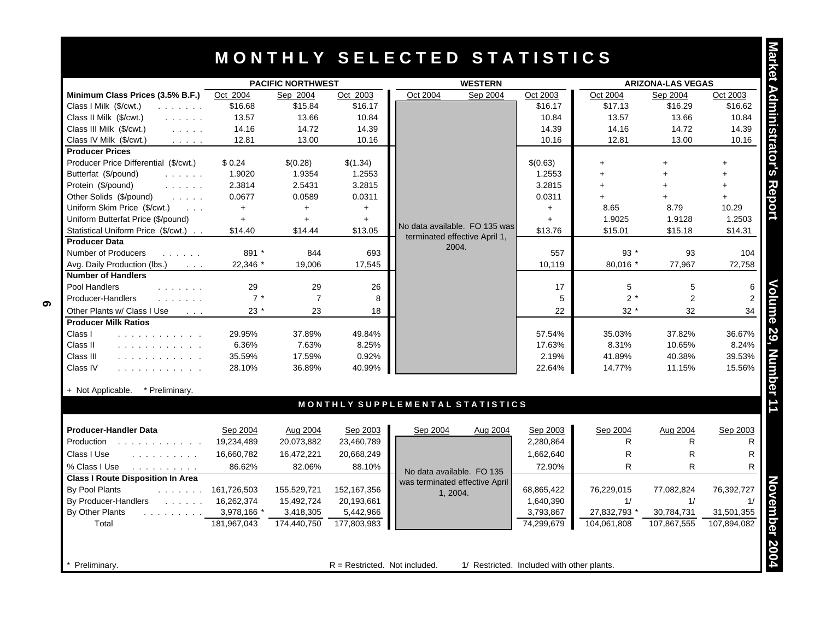# **M O N T H L Y S E L E C T E D S T A T I S T I C S**

|                                                                                                                                                                                                                                                    | <b>PACIFIC NORTHWEST</b> |                |             | <b>WESTERN</b>                                              |            |              |                | <b>ARIZONA-LAS VEGAS</b> |
|----------------------------------------------------------------------------------------------------------------------------------------------------------------------------------------------------------------------------------------------------|--------------------------|----------------|-------------|-------------------------------------------------------------|------------|--------------|----------------|--------------------------|
| Minimum Class Prices (3.5% B.F.)                                                                                                                                                                                                                   | Oct 2004                 | Sep 2004       | Oct 2003    | Oct 2004<br>Sep 2004                                        | Oct 2003   | Oct 2004     | Sep 2004       | Oct 2003                 |
| Class I Milk (\$/cwt.)<br>and a strain and                                                                                                                                                                                                         | \$16.68                  | \$15.84        | \$16.17     |                                                             | \$16.17    | \$17.13      | \$16.29        | \$16.62                  |
| Class II Milk (\$/cwt.)<br>and a straight                                                                                                                                                                                                          | 13.57                    | 13.66          | 10.84       |                                                             | 10.84      | 13.57        | 13.66          | 10.84                    |
| Class III Milk (\$/cwt.)<br>$\mathcal{L}^{\mathcal{A}}$ , $\mathcal{L}^{\mathcal{A}}$ , $\mathcal{L}^{\mathcal{A}}$ , $\mathcal{L}^{\mathcal{A}}$                                                                                                  | 14.16                    | 14.72          | 14.39       |                                                             | 14.39      | 14.16        | 14.72          | 14.39                    |
| Class IV Milk (\$/cwt.)<br>$\mathcal{L}^{\mathcal{A}}$ . The set of $\mathcal{A}$                                                                                                                                                                  | 12.81                    | 13.00          | 10.16       |                                                             | 10.16      | 12.81        | 13.00          | 10.16                    |
| <b>Producer Prices</b>                                                                                                                                                                                                                             |                          |                |             |                                                             |            |              |                |                          |
| Producer Price Differential (\$/cwt.)                                                                                                                                                                                                              | \$0.24                   | \$(0.28)       | \$(1.34)    |                                                             | \$(0.63)   | ÷            | ÷              | $+$                      |
| Butterfat (\$/pound)<br>$\mathcal{L}^{\mathcal{A}}$ , $\mathcal{L}^{\mathcal{A}}$ , $\mathcal{L}^{\mathcal{A}}$ , $\mathcal{L}^{\mathcal{A}}$                                                                                                      | 1.9020                   | 1.9354         | 1.2553      |                                                             | 1.2553     |              | ÷.             | $+$                      |
| Protein (\$/pound)<br>$\mathcal{L}^{\mathcal{A}}$ . The set of the $\mathcal{A}$                                                                                                                                                                   | 2.3814                   | 2.5431         | 3.2815      |                                                             | 3.2815     | $+$          | $\ddot{}$      | $+$                      |
| Other Solids (\$/pound)<br>$\mathcal{L}^{\mathcal{A}}$ , $\mathcal{L}^{\mathcal{A}}$ , $\mathcal{L}^{\mathcal{A}}$ ,                                                                                                                               | 0.0677                   | 0.0589         | 0.0311      |                                                             | 0.0311     |              |                | $+$                      |
| Uniform Skim Price (\$/cwt.)<br>$\sim 100$ .                                                                                                                                                                                                       | $+$                      | $+$            | $+$         |                                                             | $+$        | 8.65         | 8.79           | 10.29                    |
| Uniform Butterfat Price (\$/pound)                                                                                                                                                                                                                 | $+$                      | $+$            | $+$         | No data available. FO 135 was                               | $+$        | 1.9025       | 1.9128         | 1.2503                   |
| Statistical Uniform Price (\$/cwt.)<br>$\sim$ $\sim$                                                                                                                                                                                               | \$14.40                  | \$14.44        | \$13.05     | terminated effective April 1,                               | \$13.76    | \$15.01      | \$15.18        | \$14.31                  |
| <b>Producer Data</b>                                                                                                                                                                                                                               |                          |                |             | 2004.                                                       |            |              |                |                          |
| Number of Producers<br>.                                                                                                                                                                                                                           | 891 *                    | 844            | 693         |                                                             | 557        | $93*$        | 93             | 104                      |
| Avg. Daily Production (lbs.)<br><b>Contractor</b>                                                                                                                                                                                                  | 22,346 *                 | 19,006         | 17,545      |                                                             | 10,119     | 80,016 *     | 77,967         | 72,758                   |
| <b>Number of Handlers</b>                                                                                                                                                                                                                          |                          |                |             |                                                             |            |              |                |                          |
| Pool Handlers<br>$\mathbf{r}$ . The set of the set of the set of the set of the set of the set of the set of the set of the set of the set of the set of the set of the set of the set of the set of the set of the set of the set of the set of t | 29                       | 29             | 26          |                                                             | 17         | 5            | 5              | 6                        |
| Producer-Handlers<br>.                                                                                                                                                                                                                             | $7 *$                    | $\overline{7}$ | 8           |                                                             | 5          | $2*$         | $\overline{2}$ |                          |
| Other Plants w/ Class I Use<br>$\sim 100$ km s $^{-1}$                                                                                                                                                                                             | $23*$                    | 23             | 18          |                                                             | 22         | $32*$        | 32             | 34                       |
| <b>Producer Milk Ratios</b>                                                                                                                                                                                                                        |                          |                |             |                                                             |            |              |                |                          |
| Class I<br>.                                                                                                                                                                                                                                       | 29.95%                   | 37.89%         | 49.84%      |                                                             | 57.54%     | 35.03%       | 37.82%         | 36.67%                   |
| Class II<br>.                                                                                                                                                                                                                                      | 6.36%                    | 7.63%          | 8.25%       |                                                             | 17.63%     | 8.31%        | 10.65%         | 8.24%                    |
| Class III<br>.                                                                                                                                                                                                                                     | 35.59%                   | 17.59%         | 0.92%       |                                                             | 2.19%      | 41.89%       | 40.38%         | 39.53%                   |
| Class IV<br>.                                                                                                                                                                                                                                      | 28.10%                   | 36.89%         | 40.99%      |                                                             | 22.64%     | 14.77%       | 11.15%         | 15.56%                   |
|                                                                                                                                                                                                                                                    |                          |                |             |                                                             |            |              |                |                          |
| + Not Applicable.<br>* Preliminary.                                                                                                                                                                                                                |                          |                |             | MONTHLY SUPPLEMENTAL STATISTICS                             |            |              |                |                          |
|                                                                                                                                                                                                                                                    |                          |                |             |                                                             |            |              |                |                          |
| <b>Producer-Handler Data</b>                                                                                                                                                                                                                       | Sep 2004                 | Aug 2004       | Sep 2003    | Sep 2004<br><u>Aug 2004</u>                                 | Sep 2003   | Sep 2004     | Aug 2004       | Sep 2003                 |
| Production<br><u>.</u>                                                                                                                                                                                                                             | 19,234,489               | 20,073,882     | 23,460,789  |                                                             | 2,280,864  | R            | $\mathsf{R}$   | R.                       |
| Class I Use<br>and a share and a state                                                                                                                                                                                                             | 16,660,782               | 16,472,221     | 20,668,249  |                                                             | 1,662,640  | R            | $\mathsf{R}$   | R                        |
| % Class I Use<br>$\mathcal{A}$ is a set of the set of the set of $\mathcal{A}$                                                                                                                                                                     | 86.62%                   | 82.06%         | 88.10%      |                                                             | 72.90%     | R.           | R              | R                        |
| <b>Class I Route Disposition In Area</b>                                                                                                                                                                                                           |                          |                |             | No data available. FO 135<br>was terminated effective April |            |              |                |                          |
| By Pool Plants<br>and a straight and                                                                                                                                                                                                               | 161,726,503              | 155,529,721    | 152,167,356 | 1, 2004.                                                    | 68,865,422 | 76,229,015   | 77,082,824     | 76,392,727               |
| By Producer-Handlers<br><b>Contractor</b>                                                                                                                                                                                                          | 16,262,374               | 15,492,724     | 20,193,661  |                                                             | 1,640,390  | 1/           | 1/             |                          |
| By Other Plants                                                                                                                                                                                                                                    | 3,978,166                | 3,418,305      | 5,442,966   |                                                             | 3,793,867  | 27,832,793 * | 30,784,731     | 31,501,355               |
| Total                                                                                                                                                                                                                                              | 181.967.043              | 174,440,750    | 177,803,983 |                                                             | 74,299,679 | 104.061.808  | 107,867,555    | 107.894.082              |

| <b>Producer-Handler Data</b>                    | Sep 2004    | Aug 2004    | Sep 2003                        | Sep 2004<br>Aug 2004           | Sep 2003                                   | Sep 2004     | Aug 2004    | Sep 2003    |
|-------------------------------------------------|-------------|-------------|---------------------------------|--------------------------------|--------------------------------------------|--------------|-------------|-------------|
| Production                                      | 19,234,489  | 20,073,882  | 23,460,789                      |                                | 2,280,864                                  |              | R           |             |
| Class I Use<br>.                                | 16.660.782  | 16,472,221  | 20,668,249                      |                                | .662,640                                   | R            | R           |             |
| % Class I Use<br>the service of the service of  | 86.62%      | 82.06%      | 88.10%                          | No data available. FO 135      | 72.90%                                     | R            | R           |             |
| <b>Class I Route Disposition In Area</b>        |             |             |                                 | was terminated effective April |                                            |              |             |             |
| By Pool Plants<br>the company of the company of | 161,726,503 | 155,529,721 | 152,167,356                     | 1.2004.                        | 68,865,422                                 | 76.229.015   | 77.082.824  | 76,392,727  |
| By Producer-Handlers<br>and a state of the      | 16.262.374  | 15,492,724  | 20,193,661                      |                                | 1,640,390                                  |              |             |             |
| By Other Plants                                 | 3,978,166 * | 3,418,305   | 5,442,966                       |                                | 3,793,867                                  | 27,832,793 * | 30,784,731  | 31,501,355  |
| Total                                           | 181.967.043 | 174.440.750 | 177,803,983                     |                                | 74,299,679                                 | 104.061.808  | 107,867,555 | 107,894,082 |
|                                                 |             |             |                                 |                                |                                            |              |             |             |
|                                                 |             |             |                                 |                                |                                            |              |             |             |
| Preliminary.                                    |             |             | $R =$ Restricted. Not included. |                                | 1/ Restricted. Included with other plants. |              |             |             |

**6**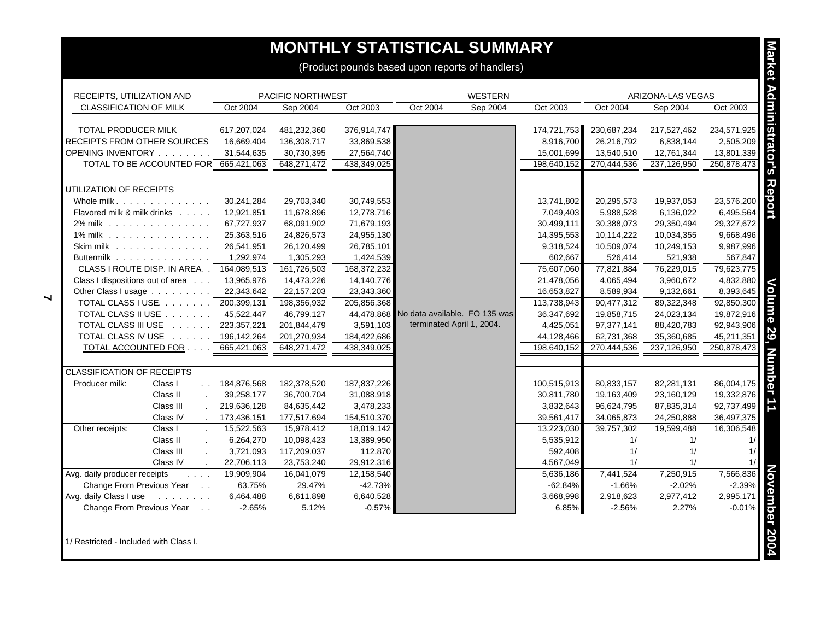# **MONTHLY STATISTICAL SUMMARY**

| RECEIPTS, UTILIZATION AND                                                                       |             | <b>PACIFIC NORTHWEST</b> |             |                                          | <b>WESTERN</b> |             |             | ARIZONA-LAS VEGAS |             |
|-------------------------------------------------------------------------------------------------|-------------|--------------------------|-------------|------------------------------------------|----------------|-------------|-------------|-------------------|-------------|
| <b>CLASSIFICATION OF MILK</b>                                                                   | Oct 2004    | Sep 2004                 | Oct 2003    | Oct 2004                                 | Sep 2004       | Oct 2003    | Oct 2004    | Sep 2004          | Oct 2003    |
| TOTAL PRODUCER MILK                                                                             | 617,207,024 | 481,232,360              | 376,914,747 |                                          |                | 174,721,753 | 230,687,234 | 217,527,462       | 234,571,925 |
| RECEIPTS FROM OTHER SOURCES                                                                     | 16,669,404  | 136,308,717              | 33,869,538  |                                          |                | 8,916,700   | 26,216,792  | 6,838,144         | 2,505,209   |
| OPENING INVENTORY                                                                               | 31,544,635  | 30,730,395               | 27,564,740  |                                          |                | 15,001,699  | 13,540,510  | 12,761,344        | 13,801,339  |
| TOTAL TO BE ACCOUNTED FOR                                                                       | 665,421,063 | 648,271,472              | 438,349,025 |                                          |                | 198,640,152 | 270,444,536 | 237,126,950       | 250,878,473 |
|                                                                                                 |             |                          |             |                                          |                |             |             |                   |             |
| UTILIZATION OF RECEIPTS                                                                         |             |                          |             |                                          |                |             |             |                   |             |
| Whole milk.                                                                                     | 30,241,284  | 29,703,340               | 30,749,553  |                                          |                | 13,741,802  | 20,295,573  | 19,937,053        | 23,576,200  |
| Flavored milk & milk drinks                                                                     | 12,921,851  | 11,678,896               | 12,778,716  |                                          |                | 7,049,403   | 5,988,528   | 6,136,022         | 6,495,564   |
| 2% milk                                                                                         | 67,727,937  | 68,091,902               | 71,679,193  |                                          |                | 30,499,111  | 30,388,073  | 29,350,494        | 29,327,672  |
| 1% milk                                                                                         | 25,363,516  | 24,826,573               | 24,955,130  |                                          |                | 14,395,553  | 10,114,222  | 10,034,355        | 9,668,496   |
| Skim milk                                                                                       | 26,541,951  | 26,120,499               | 26,785,101  |                                          |                | 9,318,524   | 10,509,074  | 10,249,153        | 9,987,996   |
| Buttermilk                                                                                      | 1,292,974   | 1,305,293                | 1,424,539   |                                          |                | 602,667     | 526,414     | 521,938           | 567,847     |
| CLASS I ROUTE DISP. IN AREA. . 164,089,513                                                      |             | 161,726,503              | 168,372,232 |                                          |                | 75,607,060  | 77,821,884  | 76,229,015        | 79,623,775  |
| Class I dispositions out of area                                                                | 13,965,976  | 14,473,226               | 14,140,776  |                                          |                | 21,478,056  | 4,065,494   | 3,960,672         | 4,832,880   |
| Other Class I usage                                                                             | 22,343,642  | 22, 157, 203             | 23,343,360  |                                          |                | 16,653,827  | 8,589,934   | 9,132,661         | 8,393,645   |
| TOTAL CLASS I USE. 200,399,131                                                                  |             | 198,356,932              | 205,856,368 |                                          |                | 113,738,943 | 90,477,312  | 89,322,348        | 92,850,300  |
| TOTAL CLASS II USE                                                                              | 45,522,447  | 46,799,127               |             | 44,478,868 No data available. FO 135 was |                | 36,347,692  | 19,858,715  | 24,023,134        | 19,872,916  |
| TOTAL CLASS III USE                                                                             | 223,357,221 | 201,844,479              | 3,591,103   | terminated April 1, 2004.                |                | 4,425,051   | 97,377,141  | 88,420,783        | 92,943,906  |
| TOTAL CLASS IV USE 196,142,264                                                                  |             | 201,270,934              | 184,422,686 |                                          |                | 44,128,466  | 62,731,368  | 35,360,685        | 45,211,351  |
| TOTAL ACCOUNTED FOR                                                                             | 665,421,063 | 648,271,472              | 438,349,025 |                                          |                | 198,640,152 | 270,444,536 | 237,126,950       | 250,878,473 |
| <b>CLASSIFICATION OF RECEIPTS</b>                                                               |             |                          |             |                                          |                |             |             |                   |             |
| Producer milk:<br>Class I<br>$\mathbf{L}$                                                       | 184,876,568 | 182,378,520              | 187,837,226 |                                          |                | 100,515,913 | 80,833,157  | 82,281,131        | 86,004,175  |
| Class II<br>$\mathbf{r}$                                                                        | 39,258,177  | 36,700,704               | 31,088,918  |                                          |                | 30,811,780  | 19,163,409  | 23,160,129        | 19,332,876  |
| Class III                                                                                       | 219,636,128 | 84,635,442               | 3,478,233   |                                          |                | 3,832,643   | 96,624,795  | 87,835,314        | 92,737,499  |
| Class IV                                                                                        | 173,436,151 | 177,517,694              | 154,510,370 |                                          |                | 39,561,417  | 34,065,873  | 24,250,888        | 36,497,375  |
| Other receipts:<br>Class I<br>$\sim$                                                            | 15,522,563  | 15,978,412               | 18,019,142  |                                          |                | 13,223,030  | 39,757,302  | 19,599,488        | 16,306,548  |
| Class II                                                                                        | 6,264,270   | 10,098,423               | 13,389,950  |                                          |                | 5,535,912   | 1/          | 1/                | 1/          |
| Class III<br>$\mathbf{r}$                                                                       | 3,721,093   | 117,209,037              | 112,870     |                                          |                | 592,408     | 1/          | 1/                | 1/          |
| Class IV                                                                                        | 22,706,113  | 23,753,240               | 29,912,316  |                                          |                | 4,567,049   | 1/          | 1/                | 1/          |
| Avg. daily producer receipts<br>$\mathcal{L}^{\pm}$ , $\mathcal{L}^{\pm}$ , $\mathcal{L}^{\pm}$ | 19,909,904  | 16,041,079               | 12,158,540  |                                          |                | 5,636,186   | 7,441,524   | 7,250,915         | 7,566,836   |
| Change From Previous Year                                                                       | 63.75%      | 29.47%                   | $-42.73%$   |                                          |                | $-62.84%$   | $-1.66%$    | $-2.02%$          | $-2.39%$    |
| Avg. daily Class I use<br>and a state of the                                                    | 6,464,488   | 6,611,898                | 6,640,528   |                                          |                | 3,668,998   | 2,918,623   | 2,977,412         | 2,995,171   |
| Change From Previous Year<br>$\sim$ $\sim$                                                      | $-2.65%$    | 5.12%                    | $-0.57%$    |                                          |                | 6.85%       | $-2.56%$    | 2.27%             | $-0.01%$    |

 $\blacktriangleleft$